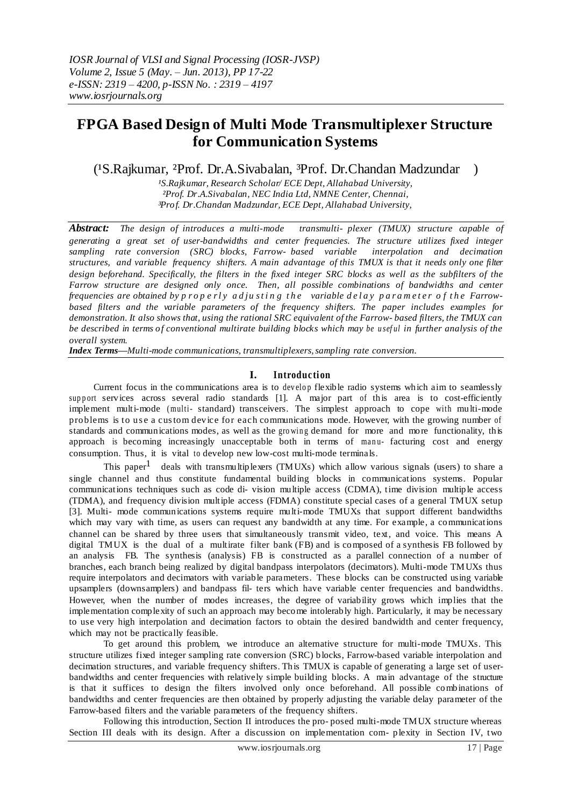# **FPGA Based Design of Multi Mode Transmultiplexer Structure for Communication Systems**

(<sup>1</sup>S.Rajkumar, <sup>2</sup>Prof. Dr.A.Sivabalan, <sup>3</sup>Prof. Dr.Chandan Madzundar )

*¹S.Rajkumar, Research Scholar/ ECE Dept, Allahabad University, ²Prof. Dr.A.Sivabalan, NEC India Ltd, NMNE Center, Chennai, ³Prof. Dr.Chandan Madzundar, ECE Dept, Allahabad University,* 

*Abstract: The design of introduces a multi-mode transmulti- plexer (TMUX) structure capable of generating a great set of user-bandwidths and center frequencies. The structure utilizes fixed integer sampling rate conversion (SRC) blocks, Farrow- based variable interpolation and decimation structures, and variable frequency shifters. A main advantage of this TMUX is that it needs only one filter* design beforehand. Specifically, the filters in the fixed integer SRC blocks as well as the subfilters of the *Farrow structure are designed only once. Then, all possible combinations of bandwidths and center frequencies are obtained by p r o p e r l y a d ju s t i n g t h e variable d e l a y p a r a m e t e r o f t h e Farrowbased filters and the variable parameters of the frequency shifters. The paper includes examples for demonstration. It also shows that, using the rational SRC equivalent of the Farrow- based filters, the TMUX can* be described in terms of conventional multirate building blocks which may be useful in further analysis of the *overall system.*

*Index Terms—Multi-mode communications, transmultiplexers, sampling rate conversion.* 

### **I. Introduc tion**

Current focus in the communications area is to develop flexible radio systems which aim to seamlessly support services across several radio standards [1]. A major part of this area is to cost-efficiently implement multi-mode ( multi- standard) transceivers. The simplest approach to cope with multi-mode problems is to us e a cus tom device for each communications mode. However, with the growing number of standards and communications modes, as well as the growing demand for more and more functionality, this approach is becoming increasingly unacceptable both in terms of manu- facturing cost and energy consumption. Thus, it is vital to develop new low-cost multi-mode terminals.

This paper<sup>1</sup> deals with transmultiplexers (TMUXs) which allow various signals (users) to share a single channel and thus constitute fundamental building blocks in communications systems. Popular communications techniques such as code di- vision multiple access (CDMA), time division multiple access (TDMA), and frequency division multiple access (FDMA) constitute special cases of a general TMUX setup [3]. Multi- mode communications systems require multi-mode TMUXs that support different bandwidths which may vary with time, as users can request any bandwidth at any time. For example, a communications channel can be shared by three users that simultaneously transmit video, text, and voice. This means A digital TMUX is the dual of a multirate filter bank (FB) and is composed of a synthesis FB followed by an analysis FB. The synthesis (analysis) FB is constructed as a parallel connection of a number of branches, each branch being realized by digital bandpass interpolators (decimators). Multi-mode TMUXs thus require interpolators and decimators with variable parameters. These blocks can be constructed using variable upsamplers (downsamplers) and bandpass fil- ters which have variable center frequencies and bandwidths. However, when the number of modes increases, the degree of variability grows which implies that the implementation complexity of such an approach may become intolerably high. Particularly, it may be necessary to use very high interpolation and decimation factors to obtain the desired bandwidth and center frequency, which may not be practically feasible.

To get around this problem, we introduce an alternative structure for multi-mode TMUXs. This structure utilizes fixed integer sampling rate conversion (SRC) blocks, Farrow-based variable interpolation and decimation structures, and variable frequency shifters. This TMUX is capable of generating a large set of userbandwidths and center frequencies with relatively simple building blocks. A main advantage of the structure is that it suffices to design the filters involved only once beforehand. All possible combinations of bandwidths and center frequencies are then obtained by properly adjusting the variable delay parameter of the Farrow-based filters and the variable parameters of the frequency shifters.

Following this introduction, Section II introduces the pro- posed multi-mode TMUX structure whereas Section III deals with its design. After a discussion on implementation com- plexity in Section IV, two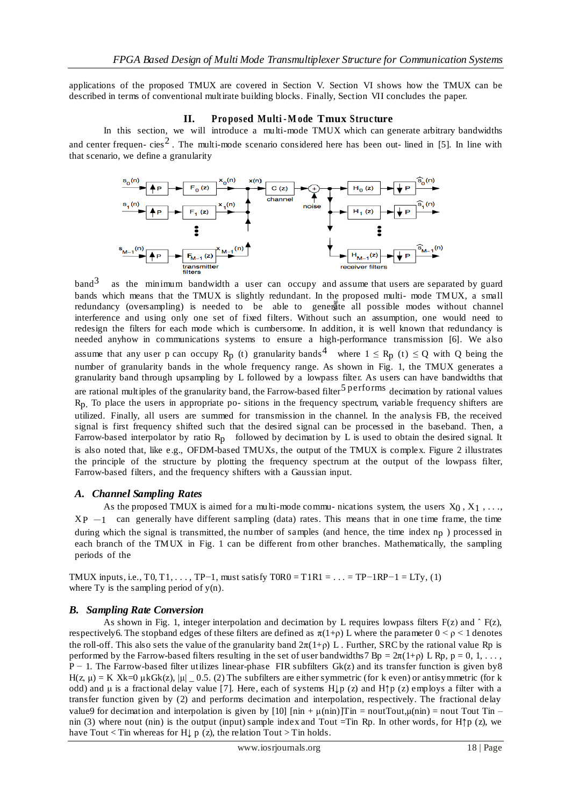applications of the proposed TMUX are covered in Section V. Section VI shows how the TMUX can be described in terms of conventional multirate building blocks. Finally, Section VII concludes the paper.

### **II. Pro posed Multi -M ode Tmux Struc ture**

In this section, we will introduce a multi-mode TMUX which can generate arbitrary bandwidths and center frequen-cies<sup>2</sup>. The multi-mode scenario considered here has been out-lined in [5]. In line with that scenario, we define a granularity



o<sup>7</sup> be able to genergice all possible modes without channe<br>fixed filters. Without such an assumption, one would need to<br>its cumbersome. In addition, it is well known that redundancy is<br>terms to ensure a high-performance  $band<sup>3</sup>$  as the minimum bandwidth a user can occupy and assume that users are separated by guard bands which means that the TMUX is slightly redundant. In the proposed multi- mode TMUX, a small redundancy (oversampling) is needed to be able to generate all possible modes without channel interference and using only one set of fixed filters. Without such an assumption, one would need to redesign the filters for each mode which is cumbersome. In addition, it is well known that redundancy is needed anyhow in communications systems to ensure a high-performance transmission [6]. We also assume that any user p can occupy R<sub>p</sub> (t) granularity bands<sup>4</sup> where  $1 \le R_p$  (t)  $\le Q$  with Q being the number of granularity bands in the whole frequency range. As shown in Fig. 1, the TMUX generates a granularity band through upsampling by L followed by a lowpass filter. As users can have bandwidths that are rational multiples of the granularity band, the Farrow-based filter<sup>5</sup> performs decimation by rational values  $R<sub>p</sub>$ . To place the users in appropriate po- sitions in the frequency spectrum, variable frequency shifters are utilized. Finally, all users are summed for transmission in the channel. In the analysis FB, the received signal is first frequency shifted such that the desired signal can be processed in the baseband. Then, a Farrow-based interpolator by ratio  $R_p$  followed by decimation by L is used to obtain the desired signal. It is also noted that, like e.g., OFDM-based TMUXs, the output of the TMUX is complex. Figure 2 illustrates the principle of the structure by plotting the frequency spectrum at the output of the lowpass filter, Farrow-based filters, and the frequency shifters with a Gaussian input.

## *A. Channel Sampling Rates*

As the proposed TMUX is aimed for a multi-mode commu- nications system, the users  $X_0, X_1, \ldots$ ,  $XP -1$  can generally have different sampling (data) rates. This means that in one time frame, the time during which the signal is transmitted, the number of samples (and hence, the time index  $n<sub>p</sub>$ ) processed in each branch of the TMUX in Fig. 1 can be different from other branches. Mathematically, the sampling periods of the

TMUX inputs, i.e., T0, T1, ..., TP-1, must satisfy  $T0R0 = T1R1 = ... = TP-1RP-1 = LTy$ , (1) where Ty is the sampling period of  $y(n)$ .

### *B. Sampling Rate Conversion*

As shown in Fig. 1, integer interpolation and decimation by L requires lowpass filters  $F(z)$  and  $\hat{F}(z)$ , respectively6. The stopband edges of these filters are defined as  $\pi(1+\rho)$  L where the parameter  $0 \le \rho \le 1$  denotes the roll-off. This also sets the value of the granularity band  $2\pi(1+p)$  L. Further, SRC by the rational value Rp is performed by the Farrow-based filters resulting in the set of user bandwidths 7 Bp =  $2\pi(1+\rho)$  L Rp, p = 0, 1, ..., P − 1. The Farrow-based filter utilizes linear-phase FIR subfilters Gk(z) and its transfer function is given by8 H(z,  $\mu$ ) = K Xk=0  $\mu$ kGk(z), | $\mu$ | 0.5. (2) The subfilters are either symmetric (for k even) or antisymmetric (for k odd) and  $\mu$  is a fractional delay value [7]. Here, each of systems H $\downarrow$ p (z) and H $\uparrow$ p (z) employs a filter with a transfer function given by (2) and performs decimation and interpolation, respectively. The fractional delay value9 for decimation and interpolation is given by [10]  $[\text{nin} + \mu(\text{nin})]$ Tin = noutTout, $\mu(\text{nin})$  = nout Tout Tin – nin (3) where nout (nin) is the output (input) sample index and Tout =Tin Rp. In other words, for H↑p (z), we have Tout < Tin whereas for H $\downarrow$  p (z), the relation Tout > Tin holds.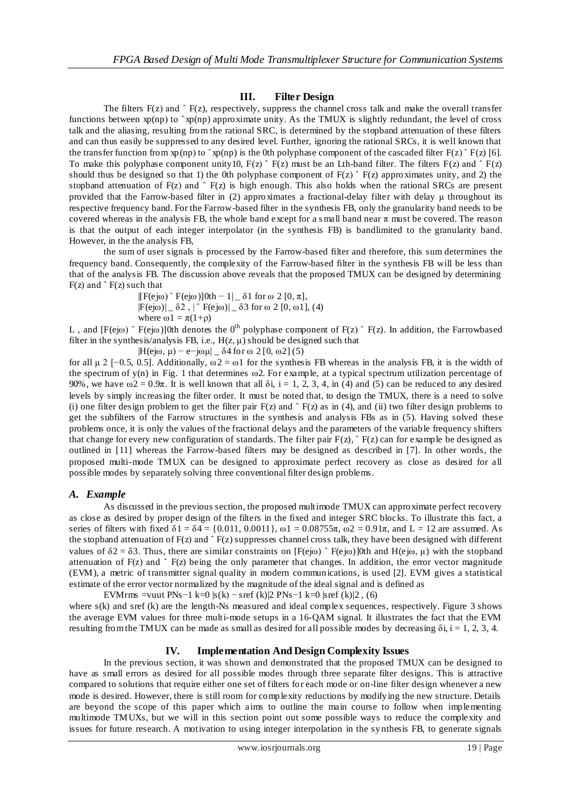#### **III. Filter Design**

The filters  $F(z)$  and  $\hat{F}(z)$ , respectively, suppress the channel cross talk and make the overall transfer functions between  $xp(np)$  to  $\hat{p}(np)$  approximate unity. As the TMUX is slightly redundant, the level of cross talk and the aliasing, resulting from the rational SRC, is determined by the stopband attenuation of these filters and can thus easily be suppressed to any desired level. Further, ignoring the rational SRCs, it is well known that the transfer function from xp(np) to  $\gamma p(np)$  is the 0th polyphase component of the cascaded filter F(z)  $\gamma P(z)$  [6]. To make this polyphase component unity10,  $F(z)$   $\tilde{F}(z)$  must be an Lth-band filter. The filters  $F(z)$  and  $\tilde{F}(z)$ should thus be designed so that 1) the 0th polyphase component of  $F(z)$   $\hat{F}(z)$  approximates unity, and 2) the stopband attenuation of  $F(z)$  and  $\hat{F}(z)$  is high enough. This also holds when the rational SRCs are present provided that the Farrow-based filter in (2) approximates a fractional-delay filter with delay μ throughout its respective frequency band. For the Farrow-based filter in the synthesis FB, only the granularity band needs to be covered whereas in the analysis FB, the whole band except for a small band near  $\pi$  must be covered. The reason is that the output of each integer interpolator (in the synthesis FB) is bandlimited to the granularity band. However, in the the analysis FB,

the sum of user signals is processed by the Farrow-based filter and therefore, this sum determines the frequency band. Consequently, the complexity of the Farrow-based filter in the synthesis FB will be less than that of the analysis FB. The discussion above reveals that the proposed TMUX can be designed by determining  $F(z)$  and  $\hat{F}(z)$  such that

 $\text{IF}(e \, i\omega)$   $\hat{P}(e \, i\omega)$ ] 0th  $-1$ |  $\delta 1$  for  $\omega 2$  [0,  $\pi$ ],  $|F(e|0)| = \delta 2$ ,  $|\hat{ } F(e|0)| = \delta 3$  for  $\omega$  2 [0,  $\omega$ 1], (4) where  $\omega_1 = \pi(1+\rho)$ 

L, and  $[F(e] \omega) \hat{ } F(e] \omega$ ] 0th denotes the 0<sup>th</sup> polyphase component of  $F(z) \hat{ } F(z)$ . In addition, the Farrowbased filter in the synthesis/analysis FB, i.e.,  $H(z, \mu)$  should be designed such that

 $|H(e|\omega, \mu) - e^{-}|\omega\mu|$   $\delta$  4 for  $\omega$  2 [0,  $\omega$ 2] (5)

for all  $\mu$  2 [−0.5, 0.5]. Additionally,  $\omega$  2 =  $\omega$ 1 for the synthesis FB whereas in the analysis FB, it is the width of the spectrum of  $y(n)$  in Fig. 1 that determines  $\omega$ 2. For example, at a typical spectrum utilization percentage of 90%, we have  $\omega = 0.9\pi$ . It is well known that all  $\delta i$ , i = 1, 2, 3, 4, in (4) and (5) can be reduced to any desired levels by simply increasing the filter order. It must be noted that, to design the TMUX, there is a need to solve (i) one filter design problem to get the filter pair  $F(z)$  and  $\hat{F}(z)$  as in (4), and (ii) two filter design problems to get the subfilters of the Farrow structures in the synthesis and analysis FBs as in (5). Having solved these problems once, it is only the values of the fractional delays and the parameters of the variable frequency shifters that change for every new configuration of standards. The filter pair  $F(z)$ ,  $F(z)$  can for example be designed as outlined in [11] whereas the Farrow-based filters may be designed as described in [7]. In other words, the proposed multi-mode TMUX can be designed to approximate perfect recovery as close as desired for all possible modes by separately solving three conventional filter design problems.

### *A. Example*

As discussed in the previous section, the proposed multimode TMUX can approximate perfect recovery as close as desired by proper design of the filters in the fixed and integer SRC blocks. To illustrate this fact, a series of filters with fixed  $\delta_1 = \delta_4 = \{0.011, 0.0011\}$ ,  $\omega_1 = 0.08755\pi$ ,  $\omega_2 = 0.91\pi$ , and  $L = 12$  are assumed. As the stopband attenuation of  $F(z)$  and  $\hat{F}(z)$  suppresses channel cross talk, they have been designed with different values of  $\delta 2 = \delta 3$ . Thus, there are similar constraints on [F(ejω)  $\hat{P}$ F(ejω)]0th and H(ejω, μ) with the stopband attenuation of  $F(z)$  and  $\hat{F}(z)$  being the only parameter that changes. In addition, the error vector magnitude (EVM), a metric of transmitter signal quality in modern communications, is used [2]. EVM gives a statistical estimate of the error vector normalized by the magnitude of the ideal signal and is defined as

EVMrms =vuut PNs−1 k=0 |s(k) – sref (k)|2 PNs−1 k=0 |sref (k)|2, (6)

where s(k) and sref (k) are the length-Ns measured and ideal complex sequences, respectively. Figure 3 shows the average EVM values for three multi-mode setups in a 16-QAM signal. It illustrates the fact that the EVM resulting from the TMUX can be made as small as desired for all possible modes by decreasing  $\delta i$ , i = 1, 2, 3, 4.

### **IV. Implementation And Design Complexity Issues**

In the previous section, it was shown and demonstrated that the proposed TMUX can be designed to have as small errors as desired for all possible modes through three separate filter designs. This is attractive compared to solutions that require either one set of filters for each mode or on-line filter design whenever a new mode is desired. However, there is still room for complexity reductions by modifying the new structure. Details are beyond the scope of this paper which aims to outline the main course to follow when implementing multimode TMUXs, but we will in this section point out some possible ways to reduce the complexity and issues for future research. A motivation to using integer interpolation in the sy nthesis FB, to generate signals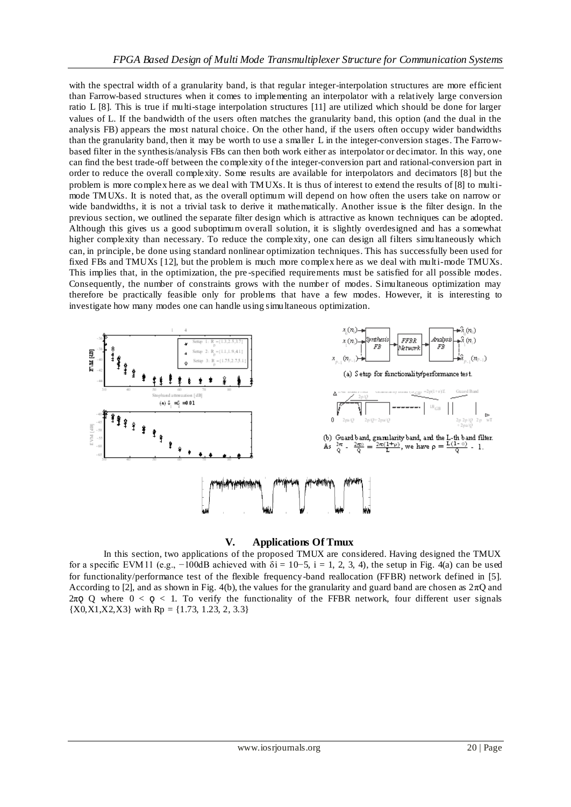with the spectral width of a granularity band, is that regular integer-interpolation structures are more efficient than Farrow-based structures when it comes to implementing an interpolator with a relatively large conversion ratio L [8]. This is true if multi-stage interpolation structures [11] are utilized which should be done for larger values of L. If the bandwidth of the users often matches the granularity band, this option (and the dual in the analysis FB) appears the most natural choice. On the other hand, if the users often occupy wider bandwidths than the granularity band, then it may be worth to use a smaller L in the integer-conversion stages. The Farrowbased filter in the synthesis/analysis FBs can then both work either as interpolator or decimator. In this way, one can find the best trade-off between the complexity of the integer-conversion part and rational-conversion part in order to reduce the overall complexity. Some results are available for interpolators and decimators [8] but the problem is more complex here as we deal with TMUXs. It is thus of interest to extend the results of [8] to multimode TMUXs. It is noted that, as the overall optimum will depend on how often the users take on narrow or wide bandwidths, it is not a trivial task to derive it mathematically. Another issue is the filter design. In the previous section, we outlined the separate filter design which is attractive as known techniques can be adopted. Although this gives us a good suboptimum overall solution, it is slightly overdesigned and has a somewhat higher complexity than necessary. To reduce the complexity, one can design all filters simultaneously which can, in principle, be done using standard nonlinear optimization techniques. This has successfully been used for fixed FBs and TMUXs [12], but the problem is much more complex here as we deal with multi-mode TMUXs. This implies that, in the optimization, the pre -specified requirements must be satisfied for all possible modes. Consequently, the number of constraints grows with the number of modes. Simultaneous optimization may therefore be practically feasible only for problems that have a few modes. However, it is interesting to investigate how many modes one can handle using simultaneous optimization.



## **V. Applications Of Tmux**

In this section, two applications of the proposed TMUX are considered. Having designed the TMUX for a specific EVM 11 (e.g., -100dB achieved with  $\delta i = 10-5$ , i = 1, 2, 3, 4), the setup in Fig. 4(a) can be used for functionality/performance test of the flexible frequency-band reallocation (FFBR) network defined in [5]. According to [2], and as shown in Fig. 4(b), the values for the granularity and guard band are chosen as  $2\pi Q$  and 2π $Q$  Q where  $0 < Q < 1$ . To verify the functionality of the FFBR network, four different user signals  ${X0, X1, X2, X3}$  with Rp = {1.73, 1.23, 2, 3.3}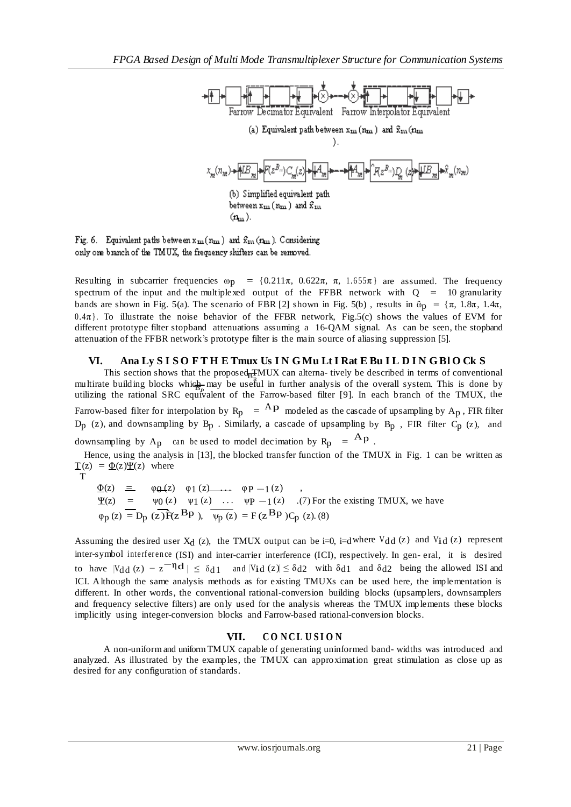

Fig. 6. Equivalent paths between  $x_m(n_m)$  and  $\hat{x}_m(n_m)$ . Considering only one branch of the TMUX, the frequency shifters can be removed.

Resulting in subcarrier frequencies  $\omega_{\text{D}} = \{0.211\pi, 0.622\pi, \pi, 1.655\pi\}$  are assumed. The frequency spectrum of the input and the multiplexed output of the FFBR network with  $Q = 10$  granularity bands are shown in Fig. 5(a). The scenario of FBR [2] shown in Fig. 5(b), results in  $\hat{\omega}_p = {\pi, 1.8\pi, 1.4\pi}$ ,  $0.4\pi$ . To illustrate the noise behavior of the FFBR network, Fig.5(c) shows the values of EVM for different prototype filter stopband attenuations assuming a 16-QAM signal. As can be seen, the stopband attenuation of the FFBR network's prototype filter is the main source of aliasing suppression [5].

### **VI. Ana Ly S I S O F T H E Tmux Us I N G Mu Lt I Rat E Bu I L D I N G Bl O Ck S**

This section shows that the proposed  $\frac{1}{B_R}$  MUX can alterna- tively be described in terms of conventional multirate building blocks which may be useful in further analysis of the overall system. This is done by utilizing the rational SRC equivalent of the Farrow-based filter [9]. In each branch of the TMUX, the Farrow-based filter for interpolation by  $R_p = {^A}P$  modeled as the cascade of upsampling by  $A_p$ , FIR filter  $D_p$  (z), and downsampling by  $B_p$ . Similarly, a cascade of upsampling by  $B_p$ , FIR filter  $C_p$  (z), and downsampling by A<sub>p</sub> can be used to model decimation by  $R_p = {^A}p$ .

Hence, using the analysis in [13], the blocked transfer function of the TMUX in Fig. 1 can be written as  $\underline{T}(z) = \underline{\Phi}(z) \underline{\Psi}(z)$  where

T

 $\Phi(z)$  =  $\varphi(\Delta(z))$   $\varphi(1(z))$   $\cdots$   $\varphi(P-1(z))$ ,  $ψ0 (z)$   $ψ1 (z)$  ...  $ψP -1 (z)$  .(7) For the existing TMUX, we have  $\varphi_p(z) = D_p(z) \overrightarrow{f}(z \cdot Bp), \quad \overrightarrow{\psi_p(z)} = F(z \cdot Bp) C_p(z).$  (8)

Assuming the desired user  $X_d$  (z), the TMUX output can be i=0, i=dwhere  $V_{dd}$  (z) and  $V_{dd}$  (z) represent inter-symbol interference (ISI) and inter-carrier interference (ICI), respectively. In gen- eral, it is desired to have  $|V_{dd}(z) - z^{-\eta}d| \leq \delta_{d1}$  and  $|V_{id}(z)| \leq \delta_{d2}$  with  $\delta_{d1}$  and  $\delta_{d2}$  being the allowed ISI and ICI. Although the same analysis methods as for existing TMUXs can be used here, the implementation is different. In other words, the conventional rational-conversion building blocks (upsamplers, downsamplers and frequency selective filters) are only used for the analysis whereas the TMUX implements these blocks implicitly using integer-conversion blocks and Farrow-based rational-conversion blocks.

### **VII. C O N C L U S I O N**

A non-uniformand uniform TMUX capable of generating uninformed band- widths was introduced and analyzed. As illustrated by the examples, the TMUX can approximation great stimulation as close up as desired for any configuration of standards.